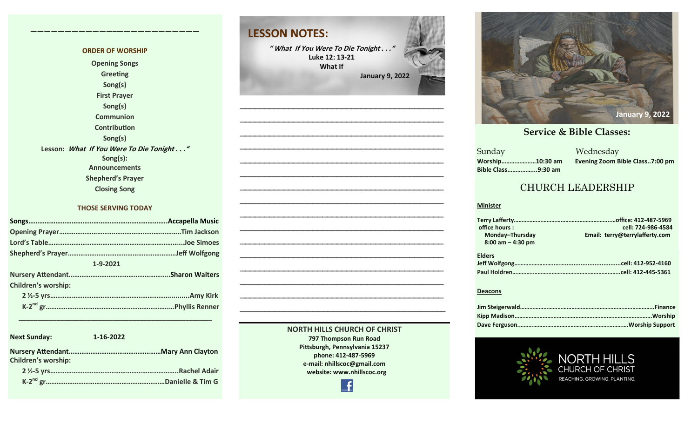#### **ORDER OF WORSHIP Opening Songs Greeting Song(s) First Prayer Song(s) Communion Contribution Song(s) Lesson: What If You Were To Die Tonight . . ." Song(s): Announcements Shepherd's Prayer Closing Song**

**————————————–————————————**

#### **THOSE SERVING TODAY**

| 1-9-2021                   |  |
|----------------------------|--|
|                            |  |
| <b>Children's worship:</b> |  |
|                            |  |
|                            |  |

 **\_\_\_\_\_\_\_\_\_\_\_\_\_\_\_\_\_\_\_\_\_\_\_\_\_\_\_\_\_\_\_\_\_\_\_\_\_\_\_\_\_\_\_\_\_\_\_\_\_\_\_**

| <b>Next Sunday:</b>        | 1-16-2022           |
|----------------------------|---------------------|
| <b>Children's worship:</b> |                     |
|                            | <b>Rachel Adair</b> |
|                            | Danielle & Tim G    |

# **LESSON NOTES: " What If You Were To Die Tonight . . ." Luke 12: 13-21 What If January 9, 2022 —————————————————————————————————————————— —————————————————————————————————————————— —————————————————————————————————————————— ——————————————————————————————————————————**

**—————————————————————————————————————————— —————————————————————————————————————————— —————————————————————————————————————————— —————————————————————————————————————————— —————————————————————————————————————————— —————————————————————————————————————————— —————————————————————————————————————————— —————————————————————————————————————————— —————————————————————————————————————————— —————————————————————————————————————————— —————————————————————————————————————————— —————————————————————————————————————————–—**



#### **September 24, 2017 October 8, 2017 October 15, 2017 October 8, 2017 October 22, 2017 October 29, 2017 November 5, 2017 November 12, 2017 November 26, 2017 December 10, 2017 December 24, 2017 January 7, 2017 January 7, 2017 February 21, 2021**

a Mednesday<br>Sunday Mednesday **Sunday Bible Class……………...9:30 am**

**Worship…………………10:30 am Evening Zoom Bible Class..7:00 pm**

 $\overline{\phantom{a}}$  S

#### CHURCH LEADERSHIP

#### **Minister**

| office hours :        | cell: 724-986-4584             |
|-----------------------|--------------------------------|
| Monday-Thursday       | Email: terry@terrylafferty.com |
| $8:00$ am $-$ 4:30 pm |                                |
| <b>Elders</b>         |                                |
|                       |                                |
|                       |                                |

#### **Deacons**



#### **797 Thompson Run Road Pittsburgh, Pennsylvania 15237 phone: 412-487-5969 e-mail: nhillscoc@gmail.com website: www.nhillscoc.org**  Æ

**NORTH HILLS CHURCH OF CHRIST**